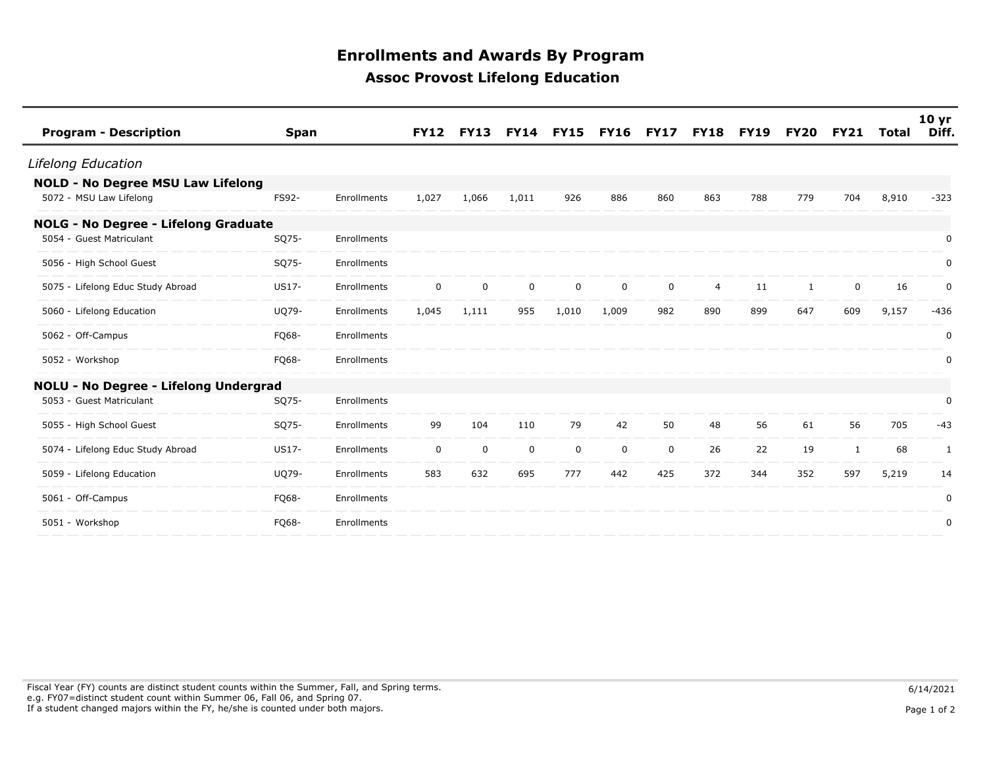## **Enrollments and Awards By Program Assoc Provost Lifelong Education**

| <b>Program - Description</b>                | <b>Span</b> |             | <b>FY12</b> | <b>FY13</b> | <b>FY14</b> | <b>FY15</b> | <b>FY16 FY17</b> |             | <b>FY18</b>    | <b>FY19</b> | FY20 | <b>FY21</b> | Total | 10 <sub>yr</sub><br>Diff. |
|---------------------------------------------|-------------|-------------|-------------|-------------|-------------|-------------|------------------|-------------|----------------|-------------|------|-------------|-------|---------------------------|
| Lifelong Education                          |             |             |             |             |             |             |                  |             |                |             |      |             |       |                           |
| <b>NOLD - No Degree MSU Law Lifelong</b>    |             |             |             |             |             |             |                  |             |                |             |      |             |       |                           |
| 5072 - MSU Law Lifelong                     | FS92-       | Enrollments | 1,027       | 1,066       | 1,011       | 926         | 886              | 860         | 863            | 788         | 779  | 704         | 8,910 | $-323$                    |
| <b>NOLG - No Degree - Lifelong Graduate</b> |             |             |             |             |             |             |                  |             |                |             |      |             |       |                           |
| 5054 - Guest Matriculant                    | SQ75-       | Enrollments |             |             |             |             |                  |             |                |             |      |             |       | 0                         |
| 5056 - High School Guest                    | SQ75-       | Enrollments |             |             |             |             |                  |             |                |             |      |             |       | 0                         |
| 5075 - Lifelong Educ Study Abroad           | US17-       | Enrollments | $\mathbf 0$ | $\mathbf 0$ | $\mathbf 0$ | $\mathbf 0$ | $\mathbf 0$      | $\mathbf 0$ | $\overline{4}$ | 11          | 1    | $\mathbf 0$ | 16    | $\mathbf 0$               |
| 5060 - Lifelong Education                   | UQ79-       | Enrollments | 1,045       | 1,111       | 955         | 1,010       | 1,009            | 982         | 890            | 899         | 647  | 609         | 9,157 | $-436$                    |
| 5062 - Off-Campus                           | FQ68-       | Enrollments |             |             |             |             |                  |             |                |             |      |             |       | 0                         |
| 5052 - Workshop                             | FQ68-       | Enrollments |             |             |             |             |                  |             |                |             |      |             |       | 0                         |
| NOLU - No Degree - Lifelong Undergrad       |             |             |             |             |             |             |                  |             |                |             |      |             |       |                           |
| 5053 - Guest Matriculant                    | SQ75-       | Enrollments |             |             |             |             |                  |             |                |             |      |             |       | 0                         |
| 5055 - High School Guest                    | SQ75-       | Enrollments | 99          | 104         | 110         | 79          | 42               | 50          | 48             | 56          | 61   | 56          | 705   | $-43$                     |
| 5074 - Lifelong Educ Study Abroad           | US17-       | Enrollments | $\mathbf 0$ | 0           | 0           | $\mathbf 0$ | 0                | 0           | 26             | 22          | 19   | -1          | 68    | 1                         |
| 5059 - Lifelong Education                   | UQ79-       | Enrollments | 583         | 632         | 695         | 777         | 442              | 425         | 372            | 344         | 352  | 597         | 5,219 | 14                        |
| 5061 - Off-Campus                           | FQ68-       | Enrollments |             |             |             |             |                  |             |                |             |      |             |       | 0                         |
| 5051 - Workshop                             | FQ68-       | Enrollments |             |             |             |             |                  |             |                |             |      |             |       | $\mathbf 0$               |
|                                             |             |             |             |             |             |             |                  |             |                |             |      |             |       |                           |